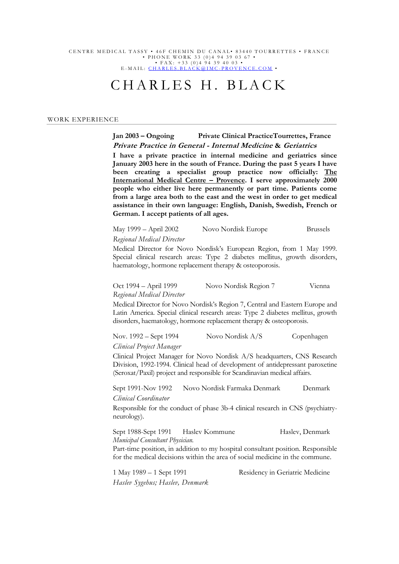### CENTRE MEDICAL TASSY • 46F CHEMIN DU CANAL• 83440 TOURRETTES • FRANCE • PHONE WORK 33 (0)4 94 39 03 67 • • FAX: +33 (0)4 94 39 40 03 •

E - MAIL : <u>CHARLES.BLACK@IMC - PROVENCE.COM</u> •

# CHARLES H. BLACK

### WORK EXPERIENCE

## **Jan 2003 – Ongoing Private Clinical PracticeTourrettes, France Private Practice in General - Internal Medicine & Geriatrics**

**I have a private practice in internal medicine and geriatrics since January 2003 here in the south of France. During the past 5 years I have been creating a specialist group practice now officially: The International Medical Centre – Provence. I serve approximately 2000 people who either live here permanently or part time. Patients come from a large area both to the east and the west in order to get medical assistance in their own language: English, Danish, Swedish, French or German. I accept patients of all ages.** 

| May 1999 – April 2002            | Novo Nordisk Europe | <b>Brussels</b> |
|----------------------------------|---------------------|-----------------|
| <b>Regional Medical Director</b> |                     |                 |

Medical Director for Novo Nordisk's European Region, from 1 May 1999. Special clinical research areas: Type 2 diabetes mellitus, growth disorders, haematology, hormone replacement therapy & osteoporosis.

| Oct 1994 – April 1999            | Novo Nordisk Region 7 | Vienna |
|----------------------------------|-----------------------|--------|
| <b>Regional Medical Director</b> |                       |        |

Medical Director for Novo Nordisk's Region 7, Central and Eastern Europe and Latin America. Special clinical research areas: Type 2 diabetes mellitus, growth disorders, haematology, hormone replacement therapy & osteoporosis.

Nov. 1992 – Sept 1994 Novo Nordisk A/S Copenhagen *Clinical Project Manager*

Clinical Project Manager for Novo Nordisk A/S headquarters, CNS Research Division, 1992-1994. Clinical head of development of antidepressant paroxetine (Seroxat/Paxil) project and responsible for Scandinavian medical affairs.

Sept 1991-Nov 1992 Novo Nordisk Farmaka Denmark Denmark *Clinical Coordinator*

Responsible for the conduct of phase 3b-4 clinical research in CNS (psychiatryneurology).

Sept 1988-Sept 1991 Haslev Kommune Haslev, Denmark *Municipal Consultant Physician.*

Part-time position, in addition to my hospital consultant position. Responsible for the medical decisions within the area of social medicine in the commune.

*Haslev Sygehus; Haslev, Denmark*

1 May 1989 – 1 Sept 1991 Residency in Geriatric Medicine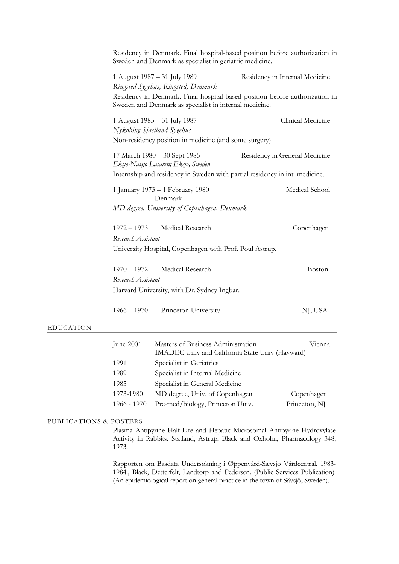| Residency in Denmark. Final hospital-based position before authorization in<br>Sweden and Denmark as specialist in geriatric medicine. |                                                                                                                               |                                                                                                               |  |
|----------------------------------------------------------------------------------------------------------------------------------------|-------------------------------------------------------------------------------------------------------------------------------|---------------------------------------------------------------------------------------------------------------|--|
|                                                                                                                                        | 1 August 1987 - 31 July 1989<br>Ringsted Sygehus; Ringsted, Denmark<br>Sweden and Denmark as specialist in internal medicine. | Residency in Internal Medicine<br>Residency in Denmark. Final hospital-based position before authorization in |  |
|                                                                                                                                        | 1 August 1985 – 31 July 1987<br>Nykobing Sjaelland Sygehus<br>Non-residency position in medicine (and some surgery).          | Clinical Medicine                                                                                             |  |
|                                                                                                                                        | 17 March 1980 - 30 Sept 1985<br>Residency in General Medicine<br>Eksjo-Nassjo Lasarett; Eksjo, Sweden                         |                                                                                                               |  |
| Internship and residency in Sweden with partial residency in int. medicine.                                                            |                                                                                                                               |                                                                                                               |  |
|                                                                                                                                        | 1 January 1973 – 1 February 1980<br>Denmark                                                                                   | Medical School                                                                                                |  |
|                                                                                                                                        | MD degree, University of Copenhagen, Denmark                                                                                  |                                                                                                               |  |
| $1972 - 1973$<br>Research Assistant                                                                                                    | Medical Research                                                                                                              | Copenhagen                                                                                                    |  |
|                                                                                                                                        | University Hospital, Copenhagen with Prof. Poul Astrup.                                                                       |                                                                                                               |  |
| $1970 - 1972$<br>Research Assistant                                                                                                    | Medical Research<br>Harvard University, with Dr. Sydney Ingbar.                                                               | Boston                                                                                                        |  |
| $1966 - 1970$                                                                                                                          | Princeton University                                                                                                          | NJ, USA                                                                                                       |  |
| June 2001                                                                                                                              | Masters of Business Administration<br>IMADEC Univ and California State Univ (Hayward)                                         | Vienna                                                                                                        |  |
| 1001                                                                                                                                   | Concoaliotin Cointumca                                                                                                        |                                                                                                               |  |

| June $2001$ | Masters of Business Administration<br>IMADEC Univ and California State Univ (Hayward) | Vienna        |
|-------------|---------------------------------------------------------------------------------------|---------------|
|             |                                                                                       |               |
| 1991        | Specialist in Geriatrics                                                              |               |
| 1989        | Specialist in Internal Medicine                                                       |               |
| 1985        | Specialist in General Medicine                                                        |               |
| 1973-1980   | MD degree, Univ. of Copenhagen                                                        | Copenhagen    |
| 1966 - 1970 | Pre-med/biology, Princeton Univ.                                                      | Princeton, NJ |

## PUBLICATIONS & POSTERS

EDUCATION

Plasma Antipyrine Half-Life and Hepatic Microsomal Antipyrine Hydroxylase Activity in Rabbits. Statland, Astrup, Black and Oxholm, Pharmacology 348, 1973.

Rapporten om Basdata Undersøkning i Øppenvård-Sævsjø Vårdcentral, 1983- 1984., Black, Detterfelt, Landtorp and Pedersen. (Public Services Publication). (An epidemiological report on general practice in the town of Sävsjö, Sweden).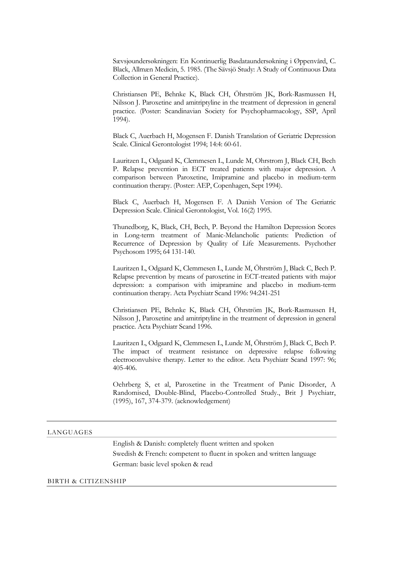Sævsjøundersøkningen: En Kontinuerlig Basdataundersøkning i Øppenvård, C. Black, Allmæn Medicin, 5. 1985. (The Sävsjö Study: A Study of Continuous Data Collection in General Practice).

Christiansen PE, Behnke K, Black CH, Öhrström JK, Bork-Rasmussen H, Nilsson J. Paroxetine and amitriptyline in the treatment of depression in general practice. (Poster: Scandinavian Society for Psychopharmacology, SSP, April 1994).

Black C, Auerbach H, Mogensen F. Danish Translation of Geriatric Depression Scale. Clinical Gerontologist 1994; 14:4: 60-61.

Lauritzen L, Odgaard K, Clemmesen L, Lunde M, Ohrstrom J, Black CH, Bech P. Relapse prevention in ECT treated patients with major depression. A comparison between Paroxetine, Imipramine and placebo in medium-term continuation therapy. (Poster: AEP, Copenhagen, Sept 1994).

Black C, Auerbach H, Mogensen F. A Danish Version of The Geriatric Depression Scale. Clinical Gerontologist, Vol. 16(2) 1995.

Thunedborg, K, Black, CH, Bech, P. Beyond the Hamilton Depression Scores in Long-term treatment of Manic-Melancholic patients: Prediction of Recurrence of Depression by Quality of Life Measurements. Psychother Psychosom 1995; 64 131-140.

Lauritzen L, Odgaard K, Clemmesen L, Lunde M, Öhrström J, Black C, Bech P. Relapse prevention by means of paroxetine in ECT-treated patients with major depression: a comparison with imipramine and placebo in medium-term continuation therapy. Acta Psychiatr Scand 1996: 94:241-251

Christiansen PE, Behnke K, Black CH, Öhrström JK, Bork-Rasmussen H, Nilsson J, Paroxetine and amitriptyline in the treatment of depression in general practice. Acta Psychiatr Scand 1996.

Lauritzen L, Odgaard K, Clemmesen L, Lunde M, Öhrström J, Black C, Bech P. The impact of treatment resistance on depressive relapse following electroconvulsive therapy. Letter to the editor. Acta Psychiatr Scand 1997: 96; 405-406.

Oehrberg S, et al, Paroxetine in the Treatment of Panic Disorder, A Randomised, Double-Blind, Placebo-Controlled Study., Brit J Psychiatr, (1995), 167, 374-379. (acknowledgement)

## LANGUAGES

English & Danish: completely fluent written and spoken Swedish & French: competent to fluent in spoken and written language German: basic level spoken & read

## BIRTH & CITIZENSHIP